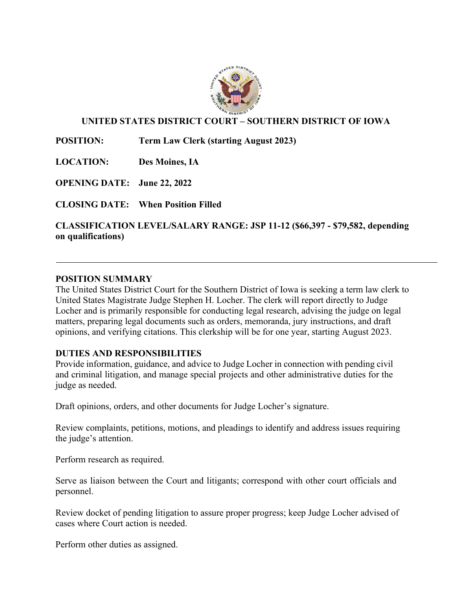

## **UNITED STATES DISTRICT COURT – SOUTHERN DISTRICT OF IOWA**

**POSITION: Term Law Clerk (starting August 2023)**

**LOCATION: Des Moines, IA** 

**OPENING DATE: June 22, 2022**

**CLOSING DATE: When Position Filled**

**CLASSIFICATION LEVEL/SALARY RANGE: JSP 11-12 (\$66,397 - \$79,582, depending on qualifications)**

#### **POSITION SUMMARY**

The United States District Court for the Southern District of Iowa is seeking a term law clerk to United States Magistrate Judge Stephen H. Locher. The clerk will report directly to Judge Locher and is primarily responsible for conducting legal research, advising the judge on legal matters, preparing legal documents such as orders, memoranda, jury instructions, and draft opinions, and verifying citations. This clerkship will be for one year, starting August 2023.

### **DUTIES AND RESPONSIBILITIES**

Provide information, guidance, and advice to Judge Locher in connection with pending civil and criminal litigation, and manage special projects and other administrative duties for the judge as needed.

Draft opinions, orders, and other documents for Judge Locher's signature.

Review complaints, petitions, motions, and pleadings to identify and address issues requiring the judge's attention.

Perform research as required.

Serve as liaison between the Court and litigants; correspond with other court officials and personnel.

Review docket of pending litigation to assure proper progress; keep Judge Locher advised of cases where Court action is needed.

Perform other duties as assigned.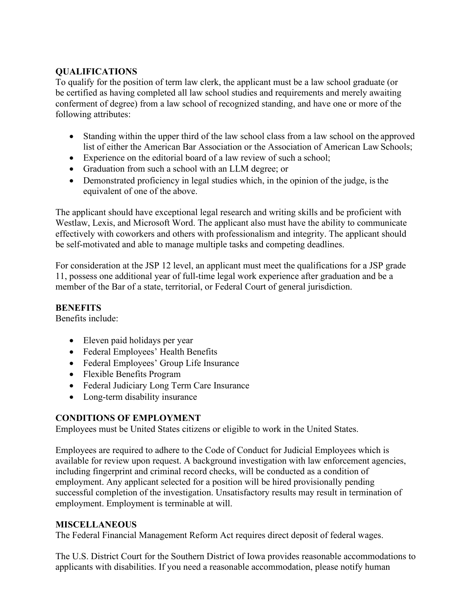### **QUALIFICATIONS**

To qualify for the position of term law clerk, the applicant must be a law school graduate (or be certified as having completed all law school studies and requirements and merely awaiting conferment of degree) from a law school of recognized standing, and have one or more of the following attributes:

- Standing within the upper third of the law school class from a law school on the approved list of either the American Bar Association or the Association of American Law Schools;
- Experience on the editorial board of a law review of such a school:
- Graduation from such a school with an LLM degree; or
- Demonstrated proficiency in legal studies which, in the opinion of the judge, is the equivalent of one of the above.

The applicant should have exceptional legal research and writing skills and be proficient with Westlaw, Lexis, and Microsoft Word. The applicant also must have the ability to communicate effectively with coworkers and others with professionalism and integrity. The applicant should be self-motivated and able to manage multiple tasks and competing deadlines.

For consideration at the JSP 12 level, an applicant must meet the qualifications for a JSP grade 11, possess one additional year of full-time legal work experience after graduation and be a member of the Bar of a state, territorial, or Federal Court of general jurisdiction.

### **BENEFITS**

Benefits include:

- Eleven paid holidays per year
- Federal Employees' Health Benefits
- Federal Employees' Group Life Insurance
- Flexible Benefits Program
- Federal Judiciary Long Term Care Insurance
- Long-term disability insurance

# **CONDITIONS OF EMPLOYMENT**

Employees must be United States citizens or eligible to work in the United States.

Employees are required to adhere to the Code of Conduct for Judicial Employees which is available for review upon request. A background investigation with law enforcement agencies, including fingerprint and criminal record checks, will be conducted as a condition of employment. Any applicant selected for a position will be hired provisionally pending successful completion of the investigation. Unsatisfactory results may result in termination of employment. Employment is terminable at will.

### **MISCELLANEOUS**

The Federal Financial Management Reform Act requires direct deposit of federal wages.

The U.S. District Court for the Southern District of Iowa provides reasonable accommodations to applicants with disabilities. If you need a reasonable accommodation, please notify human